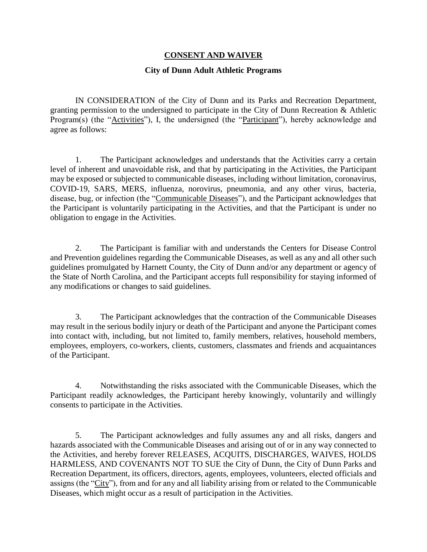## **CONSENT AND WAIVER**

## **City of Dunn Adult Athletic Programs**

IN CONSIDERATION of the City of Dunn and its Parks and Recreation Department, granting permission to the undersigned to participate in the City of Dunn Recreation & Athletic Program(s) (the "Activities"), I, the undersigned (the "Participant"), hereby acknowledge and agree as follows:

1. The Participant acknowledges and understands that the Activities carry a certain level of inherent and unavoidable risk, and that by participating in the Activities, the Participant may be exposed or subjected to communicable diseases, including without limitation, coronavirus, COVID-19, SARS, MERS, influenza, norovirus, pneumonia, and any other virus, bacteria, disease, bug, or infection (the "Communicable Diseases"), and the Participant acknowledges that the Participant is voluntarily participating in the Activities, and that the Participant is under no obligation to engage in the Activities.

2. The Participant is familiar with and understands the Centers for Disease Control and Prevention guidelines regarding the Communicable Diseases, as well as any and all other such guidelines promulgated by Harnett County, the City of Dunn and/or any department or agency of the State of North Carolina, and the Participant accepts full responsibility for staying informed of any modifications or changes to said guidelines.

3. The Participant acknowledges that the contraction of the Communicable Diseases may result in the serious bodily injury or death of the Participant and anyone the Participant comes into contact with, including, but not limited to, family members, relatives, household members, employees, employers, co-workers, clients, customers, classmates and friends and acquaintances of the Participant.

4. Notwithstanding the risks associated with the Communicable Diseases, which the Participant readily acknowledges, the Participant hereby knowingly, voluntarily and willingly consents to participate in the Activities.

5. The Participant acknowledges and fully assumes any and all risks, dangers and hazards associated with the Communicable Diseases and arising out of or in any way connected to the Activities, and hereby forever RELEASES, ACQUITS, DISCHARGES, WAIVES, HOLDS HARMLESS, AND COVENANTS NOT TO SUE the City of Dunn, the City of Dunn Parks and Recreation Department, its officers, directors, agents, employees, volunteers, elected officials and assigns (the "City"), from and for any and all liability arising from or related to the Communicable Diseases, which might occur as a result of participation in the Activities.